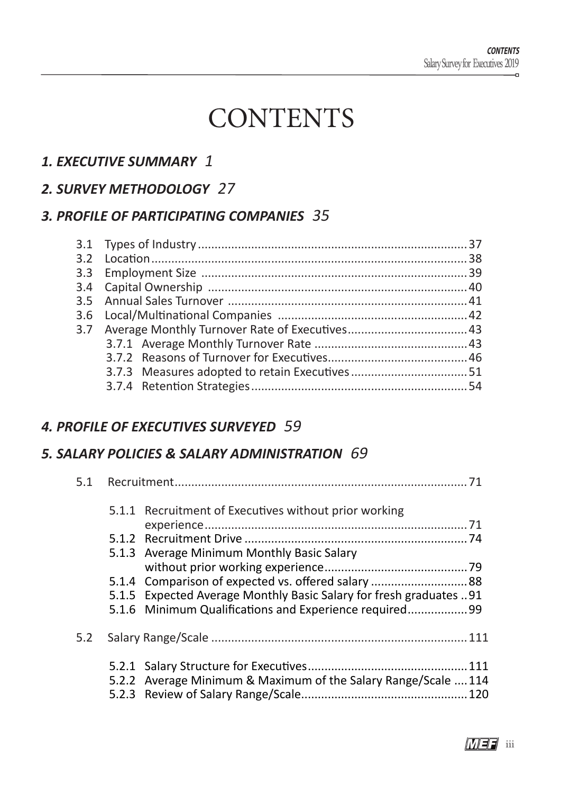# **CONTENTS**

## *1. EXECUTIVE SUMMARY* 1

#### *2. SURVEY METHODOLOGY* 27

#### *3. PROFILE OF PARTICIPATING COMPANIES* 35

| 3.7 Average Monthly Turnover Rate of Executives 43 |  |
|----------------------------------------------------|--|
|                                                    |  |
|                                                    |  |
|                                                    |  |
|                                                    |  |
|                                                    |  |

#### *4. PROFILE OF EXECUTIVES SURVEYED* 59

#### *5. SALARY POLICIES & SALARY ADMINISTRATION* 69

|     |  | 5.1.1 Recruitment of Executives without prior working              |  |
|-----|--|--------------------------------------------------------------------|--|
|     |  |                                                                    |  |
|     |  |                                                                    |  |
|     |  | 5.1.3 Average Minimum Monthly Basic Salary                         |  |
|     |  |                                                                    |  |
|     |  |                                                                    |  |
|     |  | 5.1.5 Expected Average Monthly Basic Salary for fresh graduates 91 |  |
|     |  | 5.1.6 Minimum Qualifications and Experience required99             |  |
| 5.2 |  |                                                                    |  |
|     |  |                                                                    |  |
|     |  | 5.2.2 Average Minimum & Maximum of the Salary Range/Scale  114     |  |
|     |  |                                                                    |  |
|     |  |                                                                    |  |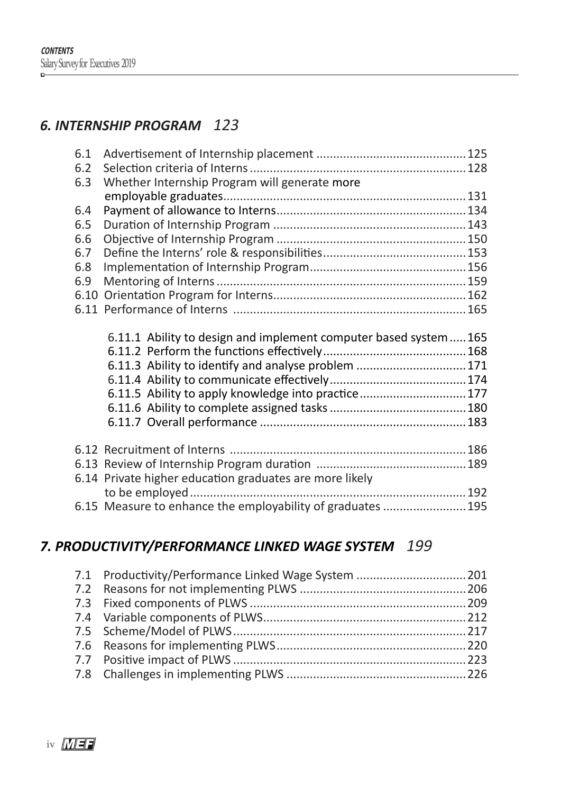## *6. INTERNSHIP PROGRAM*<sup>123</sup>

| 6.1                                                              |  |
|------------------------------------------------------------------|--|
| 6.2                                                              |  |
| Whether Internship Program will generate more<br>6.3             |  |
|                                                                  |  |
| 6.4                                                              |  |
| 6.5                                                              |  |
| 6.6                                                              |  |
| 6.7                                                              |  |
| 6.8                                                              |  |
| 6.9                                                              |  |
|                                                                  |  |
|                                                                  |  |
|                                                                  |  |
|                                                                  |  |
| 6.11.1 Ability to design and implement computer based system 165 |  |
|                                                                  |  |
| 6.11.3 Ability to identify and analyse problem 171               |  |
|                                                                  |  |
| 6.11.5 Ability to apply knowledge into practice177               |  |
|                                                                  |  |
|                                                                  |  |
|                                                                  |  |
|                                                                  |  |
|                                                                  |  |
| 6.14 Private higher education graduates are more likely          |  |
| 6.15 Measure to enhance the employability of graduates  195      |  |

## *7. PRODUCTIVITY/PERFORMANCE LINKED WAGE SYSTEM* <sup>199</sup>

| 7.1 Productivity/Performance Linked Wage System  201 |  |
|------------------------------------------------------|--|
|                                                      |  |
|                                                      |  |
|                                                      |  |
|                                                      |  |
|                                                      |  |
|                                                      |  |
|                                                      |  |

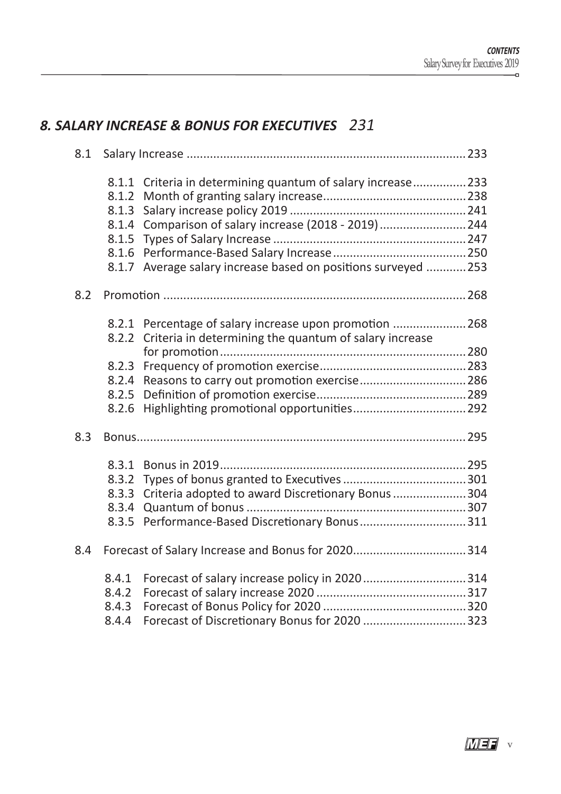# *8. SALARY INCREASE & BONUS FOR EXECUTIVES*<sup>231</sup>

| 8.1 |       |                                                              |
|-----|-------|--------------------------------------------------------------|
|     |       | 8.1.1 Criteria in determining quantum of salary increase 233 |
|     | 8.1.2 |                                                              |
|     | 8.1.3 |                                                              |
|     |       | 8.1.4 Comparison of salary increase (2018 - 2019)  244       |
|     | 8.1.5 |                                                              |
|     | 8.1.6 |                                                              |
|     | 8.1.7 | Average salary increase based on positions surveyed 253      |
| 8.2 |       |                                                              |
|     |       | 8.2.1 Percentage of salary increase upon promotion 268       |
|     | 8.2.2 | Criteria in determining the quantum of salary increase       |
|     |       |                                                              |
|     |       |                                                              |
|     |       | 8.2.4 Reasons to carry out promotion exercise286             |
|     | 8.2.5 |                                                              |
|     | 8.2.6 |                                                              |
| 8.3 |       |                                                              |
|     |       |                                                              |
|     | 8.3.2 |                                                              |
|     |       | 8.3.3 Criteria adopted to award Discretionary Bonus 304      |
|     |       |                                                              |
|     |       | 8.3.5 Performance-Based Discretionary Bonus311               |
| 8.4 |       |                                                              |
|     | 8.4.1 |                                                              |
|     | 8.4.2 |                                                              |
|     | 8.4.3 |                                                              |
|     | 8.4.4 |                                                              |